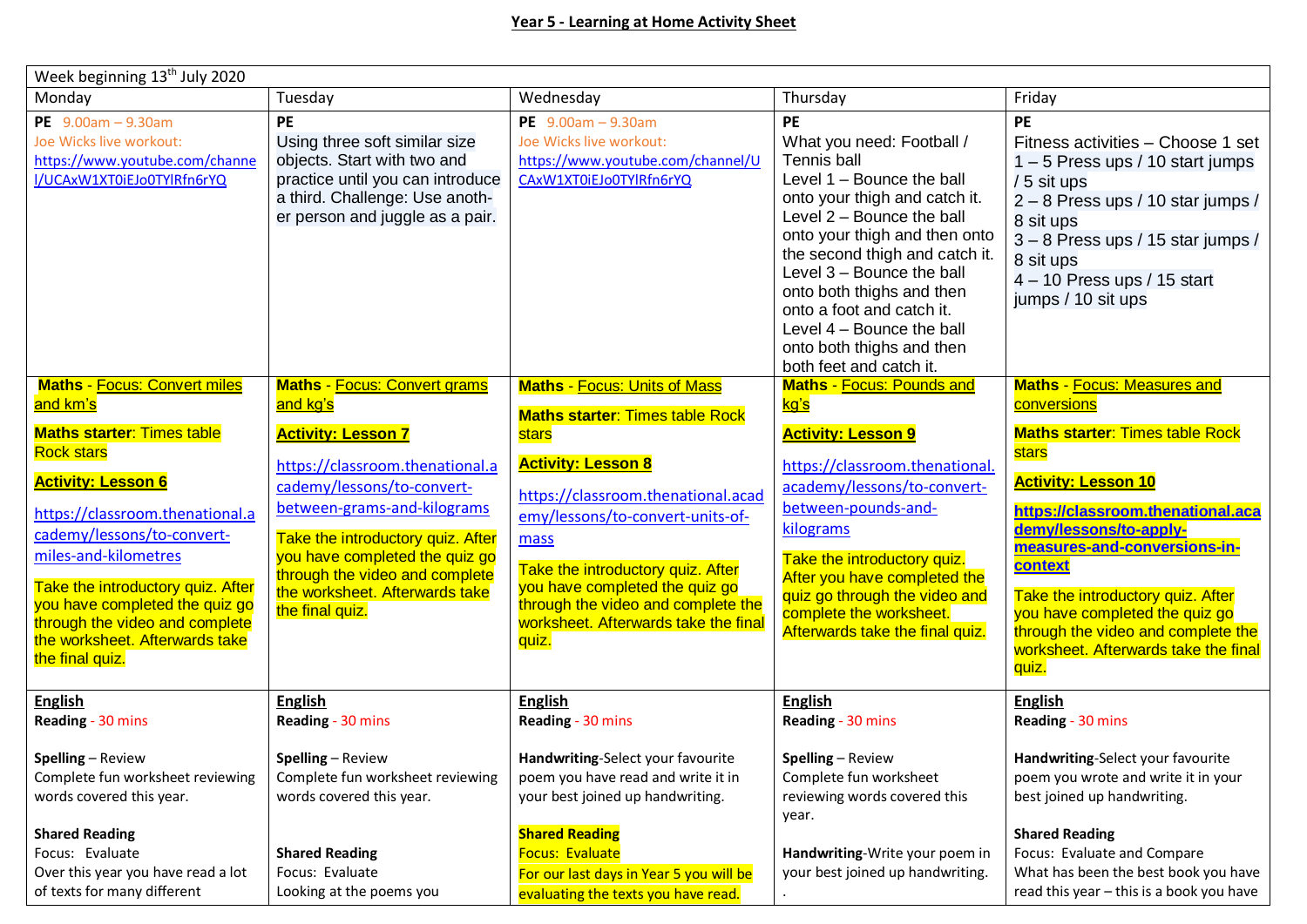| Week beginning 13 <sup>th</sup> July 2020                                                                                                                                                                                                                                        |                                                                                                                                                                                                                                                            |                                                                                                                                                                                                                                                                           |                                                                                                                                                                                                                                                                                                                                                                                          |                                                                                                                                                                                                                                                                                                           |  |  |  |
|----------------------------------------------------------------------------------------------------------------------------------------------------------------------------------------------------------------------------------------------------------------------------------|------------------------------------------------------------------------------------------------------------------------------------------------------------------------------------------------------------------------------------------------------------|---------------------------------------------------------------------------------------------------------------------------------------------------------------------------------------------------------------------------------------------------------------------------|------------------------------------------------------------------------------------------------------------------------------------------------------------------------------------------------------------------------------------------------------------------------------------------------------------------------------------------------------------------------------------------|-----------------------------------------------------------------------------------------------------------------------------------------------------------------------------------------------------------------------------------------------------------------------------------------------------------|--|--|--|
| Monday                                                                                                                                                                                                                                                                           | Tuesday                                                                                                                                                                                                                                                    | Wednesday                                                                                                                                                                                                                                                                 | Thursday                                                                                                                                                                                                                                                                                                                                                                                 | Friday                                                                                                                                                                                                                                                                                                    |  |  |  |
| PE $9.00am - 9.30am$<br>Joe Wicks live workout:<br>https://www.youtube.com/channe<br>I/UCAxW1XT0iEJo0TYlRfn6rYQ                                                                                                                                                                  | <b>PE</b><br>Using three soft similar size<br>objects. Start with two and<br>practice until you can introduce<br>a third. Challenge: Use anoth-<br>er person and juggle as a pair.                                                                         | PE $9.00am - 9.30am$<br>Joe Wicks live workout:<br>https://www.youtube.com/channel/U<br>CAxW1XT0iEJo0TYlRfn6rYQ                                                                                                                                                           | PE<br>What you need: Football /<br>Tennis ball<br>Level 1 - Bounce the ball<br>onto your thigh and catch it.<br>Level 2 - Bounce the ball<br>onto your thigh and then onto<br>the second thigh and catch it.<br>Level 3 - Bounce the ball<br>onto both thighs and then<br>onto a foot and catch it.<br>Level 4 - Bounce the ball<br>onto both thighs and then<br>both feet and catch it. | <b>PE</b><br>Fitness activities - Choose 1 set<br>$1 - 5$ Press ups / 10 start jumps<br>/ 5 sit ups<br>2 - 8 Press ups / 10 star jumps /<br>8 sit ups<br>3 - 8 Press ups / 15 star jumps /<br>8 sit ups<br>$4 - 10$ Press ups / 15 start<br>jumps / 10 sit ups                                            |  |  |  |
| <b>Maths - Focus: Convert miles</b><br>and km's                                                                                                                                                                                                                                  | <b>Maths - Focus: Convert grams</b><br>and kg's                                                                                                                                                                                                            | <b>Maths - Focus: Units of Mass</b>                                                                                                                                                                                                                                       | <b>Maths - Focus: Pounds and</b><br><u>kg's</u>                                                                                                                                                                                                                                                                                                                                          | <b>Maths - Focus: Measures and</b><br>conversions                                                                                                                                                                                                                                                         |  |  |  |
| <b>Maths starter: Times table</b><br><b>Rock stars</b>                                                                                                                                                                                                                           | <b>Activity: Lesson 7</b>                                                                                                                                                                                                                                  | <b>Maths starter: Times table Rock</b><br>stars                                                                                                                                                                                                                           | <b>Activity: Lesson 9</b>                                                                                                                                                                                                                                                                                                                                                                | <b>Maths starter: Times table Rock</b><br>stars                                                                                                                                                                                                                                                           |  |  |  |
| <b>Activity: Lesson 6</b><br>https://classroom.thenational.a<br>cademy/lessons/to-convert-<br>miles-and-kilometres<br>Take the introductory quiz. After<br>you have completed the quiz go<br>through the video and complete<br>the worksheet. Afterwards take<br>the final quiz. | https://classroom.thenational.a<br>cademy/lessons/to-convert-<br>between-grams-and-kilograms<br>Take the introductory quiz. After<br>you have completed the quiz go<br>through the video and complete<br>the worksheet. Afterwards take<br>the final quiz. | <b>Activity: Lesson 8</b><br>https://classroom.thenational.acad<br>emy/lessons/to-convert-units-of-<br>mass<br>Take the introductory quiz. After<br>you have completed the quiz go<br>through the video and complete the<br>worksheet. Afterwards take the final<br>quiz. | https://classroom.thenational.<br>academy/lessons/to-convert-<br>between-pounds-and-<br>kilograms<br>Take the introductory quiz.<br>After you have completed the<br>quiz go through the video and<br>complete the worksheet.<br>Afterwards take the final quiz.                                                                                                                          | <b>Activity: Lesson 10</b><br>https://classroom.thenational.aca<br>demy/lessons/to-apply-<br>measures-and-conversions-in-<br><b>context</b><br>Take the introductory quiz. After<br>you have completed the quiz go<br>through the video and complete the<br>worksheet. Afterwards take the final<br>quiz. |  |  |  |
| <b>English</b><br>Reading - 30 mins                                                                                                                                                                                                                                              | <b>English</b><br>Reading - 30 mins                                                                                                                                                                                                                        | <b>English</b><br>Reading - 30 mins                                                                                                                                                                                                                                       | <b>English</b><br>Reading - 30 mins                                                                                                                                                                                                                                                                                                                                                      | <b>English</b><br>Reading - 30 mins                                                                                                                                                                                                                                                                       |  |  |  |
| $Spelling$ - Review<br>Complete fun worksheet reviewing<br>words covered this year.                                                                                                                                                                                              | Spelling - Review<br>Complete fun worksheet reviewing<br>words covered this year.                                                                                                                                                                          | Handwriting-Select your favourite<br>poem you have read and write it in<br>your best joined up handwriting.                                                                                                                                                               | Spelling - Review<br>Complete fun worksheet<br>reviewing words covered this<br>year.                                                                                                                                                                                                                                                                                                     | Handwriting-Select your favourite<br>poem you wrote and write it in your<br>best joined up handwriting.                                                                                                                                                                                                   |  |  |  |
| <b>Shared Reading</b><br>Focus: Evaluate<br>Over this year you have read a lot<br>of texts for many different                                                                                                                                                                    | <b>Shared Reading</b><br>Focus: Evaluate<br>Looking at the poems you                                                                                                                                                                                       | <b>Shared Reading</b><br><b>Focus: Evaluate</b><br>For our last days in Year 5 you will be<br>evaluating the texts you have read.                                                                                                                                         | Handwriting-Write your poem in<br>your best joined up handwriting.                                                                                                                                                                                                                                                                                                                       | <b>Shared Reading</b><br>Focus: Evaluate and Compare<br>What has been the best book you have<br>read this year - this is a book you have                                                                                                                                                                  |  |  |  |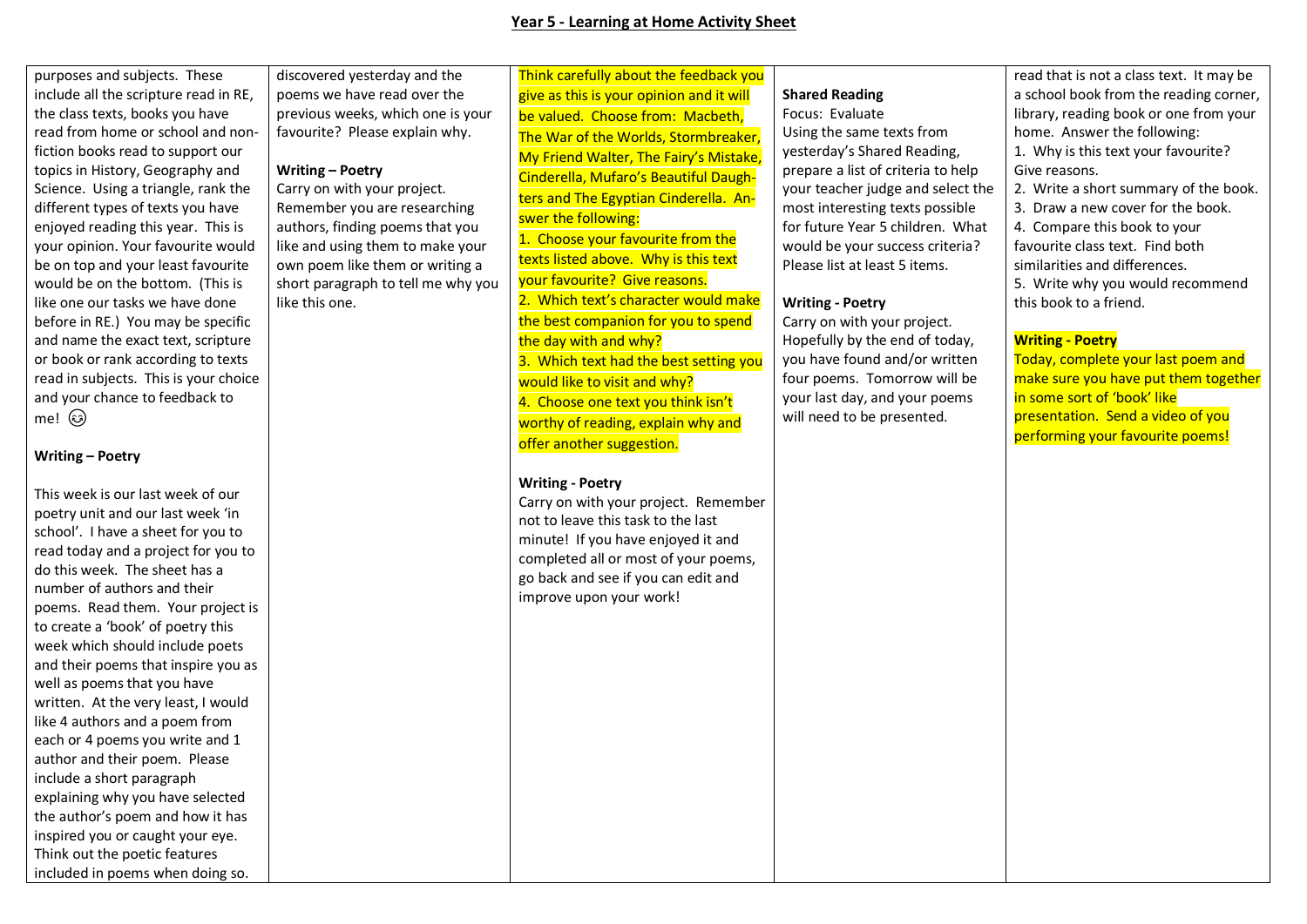purposes and subjects. These include all the scripture read in RE, the class texts, books you have read from home or school and nonfiction books read to support our topics in History, Geography and Science. Using a triangle, rank the different types of texts you have enjoyed reading this year. This is your opinion. Your favourite would be on top and your least favourite would be on the bottom. (This is like one our tasks we have done before in RE.) You may be specific and name the exact text, scripture or book or rank according to texts read in subjects. This is your choice and your chance to feedback to me! ශ

## **Writing – Poetry**

This week is our last week of our poetry unit and our last week 'in school'. I have a sheet for you to read today and a project for you to do this week. The sheet has a number of authors and their poems. Read them. Your project is to create a 'book' of poetry this week which should include poets and their poems that inspire you as well as poems that you have written. At the very least, I would like 4 authors and a poem from each or 4 poems you write and 1 author and their poem. Please include a short paragraph explaining why you have selected the author's poem and how it has inspired you or caught your eye. Think out the poetic features included in poems when doing so.

discovered yesterday and the poems we have read over the previous weeks, which one is your favourite? Please explain why.

## **Writing – Poetry**

Carry on with your project. Remember you are researching authors, finding poems that you like and using them to make your own poem like them or writing a short paragraph to tell me why you like this one.

Think carefully about the feedback you give as this is your opinion and it will be valued. Choose from: Macbeth, The War of the Worlds, Stormbreaker, My Friend Walter, The Fairy's Mistake, Cinderella, Mufaro's Beautiful Daughters and The Egyptian Cinderella. Answer the following:

1. Choose your favourite from the texts listed above. Why is this text your favourite? Give reasons. 2. Which text's character would make the best companion for you to spend the day with and why? 3. Which text had the best setting you would like to visit and why? 4. Choose one text you think isn't worthy of reading, explain why and offer another suggestion.

## **Writing - Poetry**

Carry on with your project. Remember not to leave this task to the last minute! If you have enjoyed it and completed all or most of your poems, go back and see if you can edit and improve upon your work!

#### **Shared Reading**

Focus: Evaluate Using the same texts from yesterday's Shared Reading, prepare a list of criteria to help your teacher judge and select the most interesting texts possible for future Year 5 children. What would be your success criteria? Please list at least 5 items.

## **Writing - Poetry**

Carry on with your project. Hopefully by the end of today, you have found and/or written four poems. Tomorrow will be your last day, and your poems will need to be presented.

read that is not a class text. It may be a school book from the reading corner, library, reading book or one from your home. Answer the following: 1. Why is this text your favourite? Give reasons.

2. Write a short summary of the book.

3. Draw a new cover for the book.

4. Compare this book to your favourite class text. Find both similarities and differences.

5. Write why you would recommend this book to a friend.

# **Writing - Poetry**

Today, complete your last poem and make sure you have put them together in some sort of 'book' like presentation. Send a video of you performing your favourite poems!